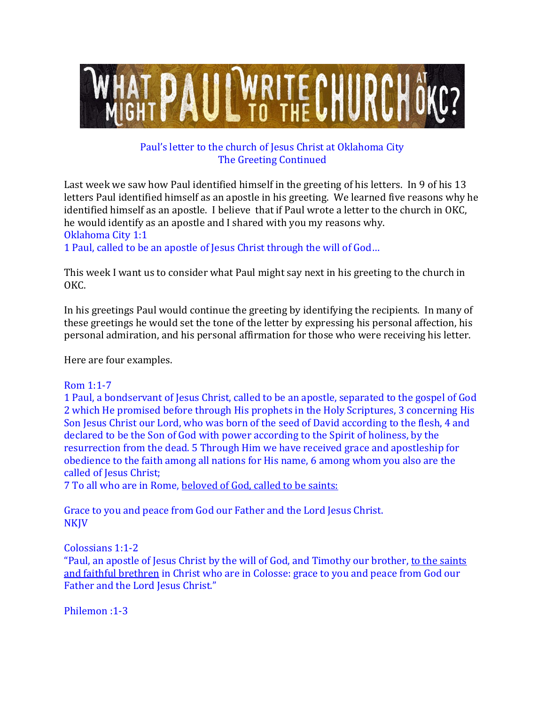

# Paul's letter to the church of Jesus Christ at Oklahoma City The Greeting Continued

Last week we saw how Paul identified himself in the greeting of his letters. In 9 of his 13 letters Paul identified himself as an apostle in his greeting. We learned five reasons why he identified himself as an apostle. I believe that if Paul wrote a letter to the church in OKC, he would identify as an apostle and I shared with you my reasons why. Oklahoma City 1:1

1 Paul, called to be an apostle of Jesus Christ through the will of God…

This week I want us to consider what Paul might say next in his greeting to the church in OKC.

In his greetings Paul would continue the greeting by identifying the recipients. In many of these greetings he would set the tone of the letter by expressing his personal affection, his personal admiration, and his personal affirmation for those who were receiving his letter.

Here are four examples.

## Rom 1:1-7

1 Paul, a bondservant of Jesus Christ, called to be an apostle, separated to the gospel of God 2 which He promised before through His prophets in the Holy Scriptures, 3 concerning His Son Jesus Christ our Lord, who was born of the seed of David according to the flesh, 4 and declared to be the Son of God with power according to the Spirit of holiness, by the resurrection from the dead. 5 Through Him we have received grace and apostleship for obedience to the faith among all nations for His name, 6 among whom you also are the called of Jesus Christ;

7 To all who are in Rome, beloved of God, called to be saints:

Grace to you and peace from God our Father and the Lord Jesus Christ. **NKJV** 

Colossians 1:1-2

"Paul, an apostle of Jesus Christ by the will of God, and Timothy our brother, to the saints and faithful brethren in Christ who are in Colosse: grace to you and peace from God our Father and the Lord Jesus Christ."

Philemon :1-3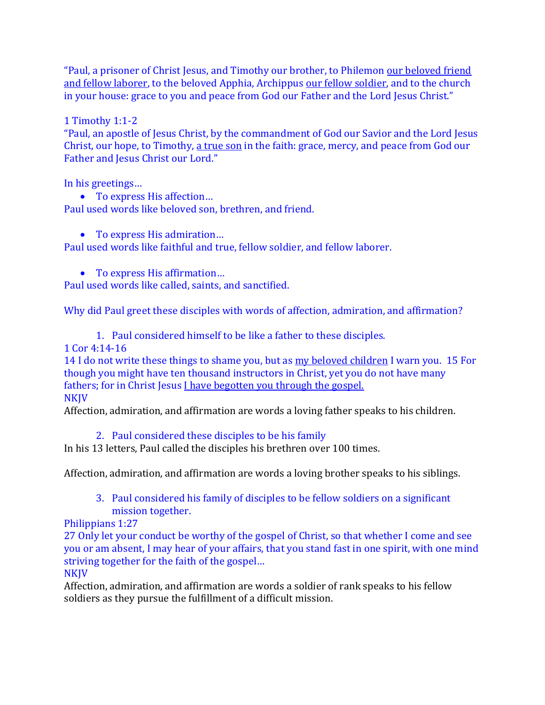"Paul, a prisoner of Christ Jesus, and Timothy our brother, to Philemon our beloved friend and fellow laborer, to the beloved Apphia, Archippus our fellow soldier, and to the church in your house: grace to you and peace from God our Father and the Lord Jesus Christ."

1 Timothy 1:1-2

"Paul, an apostle of Jesus Christ, by the commandment of God our Savior and the Lord Jesus Christ, our hope, to Timothy, a true son in the faith: grace, mercy, and peace from God our Father and Jesus Christ our Lord."

In his greetings…

- To express His affection... Paul used words like beloved son, brethren, and friend.
	- To express His admiration...

Paul used words like faithful and true, fellow soldier, and fellow laborer.

• To express His affirmation...

Paul used words like called, saints, and sanctified.

Why did Paul greet these disciples with words of affection, admiration, and affirmation?

1. Paul considered himself to be like a father to these disciples.

1 Cor 4:14-16

14 I do not write these things to shame you, but as my beloved children I warn you. 15 For though you might have ten thousand instructors in Christ, yet you do not have many fathers; for in Christ Jesus I have begotten you through the gospel. NKJV

Affection, admiration, and affirmation are words a loving father speaks to his children.

2. Paul considered these disciples to be his family

In his 13 letters, Paul called the disciples his brethren over 100 times.

Affection, admiration, and affirmation are words a loving brother speaks to his siblings.

3. Paul considered his family of disciples to be fellow soldiers on a significant mission together.

Philippians 1:27

27 Only let your conduct be worthy of the gospel of Christ, so that whether I come and see you or am absent, I may hear of your affairs, that you stand fast in one spirit, with one mind striving together for the faith of the gospel…

**NKJV** 

Affection, admiration, and affirmation are words a soldier of rank speaks to his fellow soldiers as they pursue the fulfillment of a difficult mission.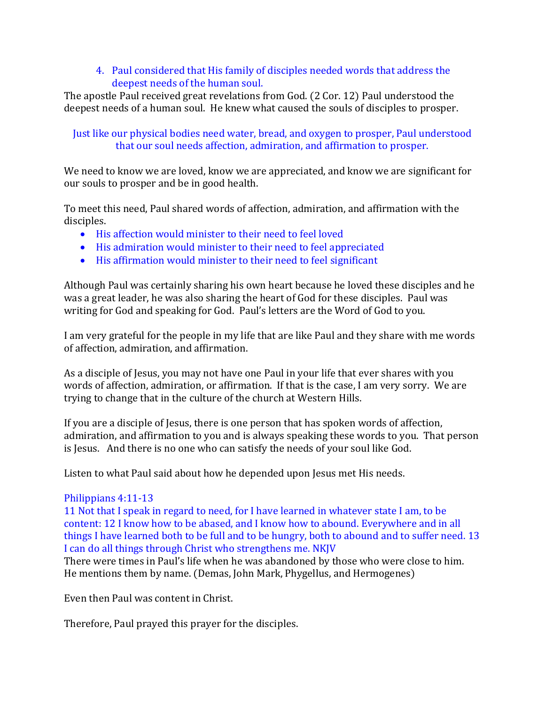#### 4. Paul considered that His family of disciples needed words that address the deepest needs of the human soul.

The apostle Paul received great revelations from God. (2 Cor. 12) Paul understood the deepest needs of a human soul. He knew what caused the souls of disciples to prosper.

## Just like our physical bodies need water, bread, and oxygen to prosper, Paul understood that our soul needs affection, admiration, and affirmation to prosper.

We need to know we are loved, know we are appreciated, and know we are significant for our souls to prosper and be in good health.

To meet this need, Paul shared words of affection, admiration, and affirmation with the disciples.

- His affection would minister to their need to feel loved
- His admiration would minister to their need to feel appreciated
- His affirmation would minister to their need to feel significant

Although Paul was certainly sharing his own heart because he loved these disciples and he was a great leader, he was also sharing the heart of God for these disciples. Paul was writing for God and speaking for God. Paul's letters are the Word of God to you.

I am very grateful for the people in my life that are like Paul and they share with me words of affection, admiration, and affirmation.

As a disciple of Jesus, you may not have one Paul in your life that ever shares with you words of affection, admiration, or affirmation. If that is the case, I am very sorry. We are trying to change that in the culture of the church at Western Hills.

If you are a disciple of Jesus, there is one person that has spoken words of affection, admiration, and affirmation to you and is always speaking these words to you. That person is Jesus. And there is no one who can satisfy the needs of your soul like God.

Listen to what Paul said about how he depended upon Jesus met His needs.

## Philippians 4:11-13

11 Not that I speak in regard to need, for I have learned in whatever state I am, to be content: 12 I know how to be abased, and I know how to abound. Everywhere and in all things I have learned both to be full and to be hungry, both to abound and to suffer need. 13 I can do all things through Christ who strengthens me. NKJV

There were times in Paul's life when he was abandoned by those who were close to him. He mentions them by name. (Demas, John Mark, Phygellus, and Hermogenes)

Even then Paul was content in Christ.

Therefore, Paul prayed this prayer for the disciples.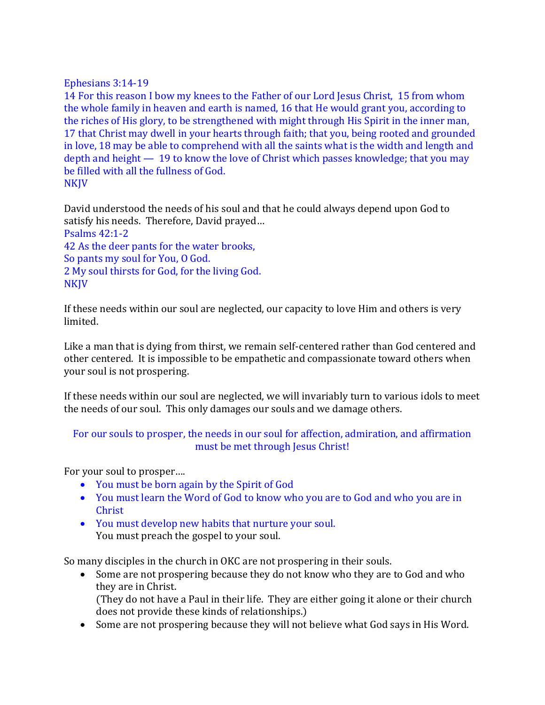#### Ephesians 3:14-19

14 For this reason I bow my knees to the Father of our Lord Jesus Christ, 15 from whom the whole family in heaven and earth is named, 16 that He would grant you, according to the riches of His glory, to be strengthened with might through His Spirit in the inner man, 17 that Christ may dwell in your hearts through faith; that you, being rooted and grounded in love, 18 may be able to comprehend with all the saints what is the width and length and depth and height — 19 to know the love of Christ which passes knowledge; that you may be filled with all the fullness of God. **NKJV** 

David understood the needs of his soul and that he could always depend upon God to satisfy his needs. Therefore, David prayed… Psalms 42:1-2 42 As the deer pants for the water brooks, So pants my soul for You, O God. 2 My soul thirsts for God, for the living God. **NKJV** 

If these needs within our soul are neglected, our capacity to love Him and others is very limited.

Like a man that is dying from thirst, we remain self-centered rather than God centered and other centered. It is impossible to be empathetic and compassionate toward others when your soul is not prospering.

If these needs within our soul are neglected, we will invariably turn to various idols to meet the needs of our soul. This only damages our souls and we damage others.

#### For our souls to prosper, the needs in our soul for affection, admiration, and affirmation must be met through Jesus Christ!

For your soul to prosper….

- You must be born again by the Spirit of God
- You must learn the Word of God to know who you are to God and who you are in Christ
- You must develop new habits that nurture your soul. You must preach the gospel to your soul.

So many disciples in the church in OKC are not prospering in their souls.

• Some are not prospering because they do not know who they are to God and who they are in Christ. (They do not have a Paul in their life. They are either going it alone or their church

does not provide these kinds of relationships.)

• Some are not prospering because they will not believe what God says in His Word.